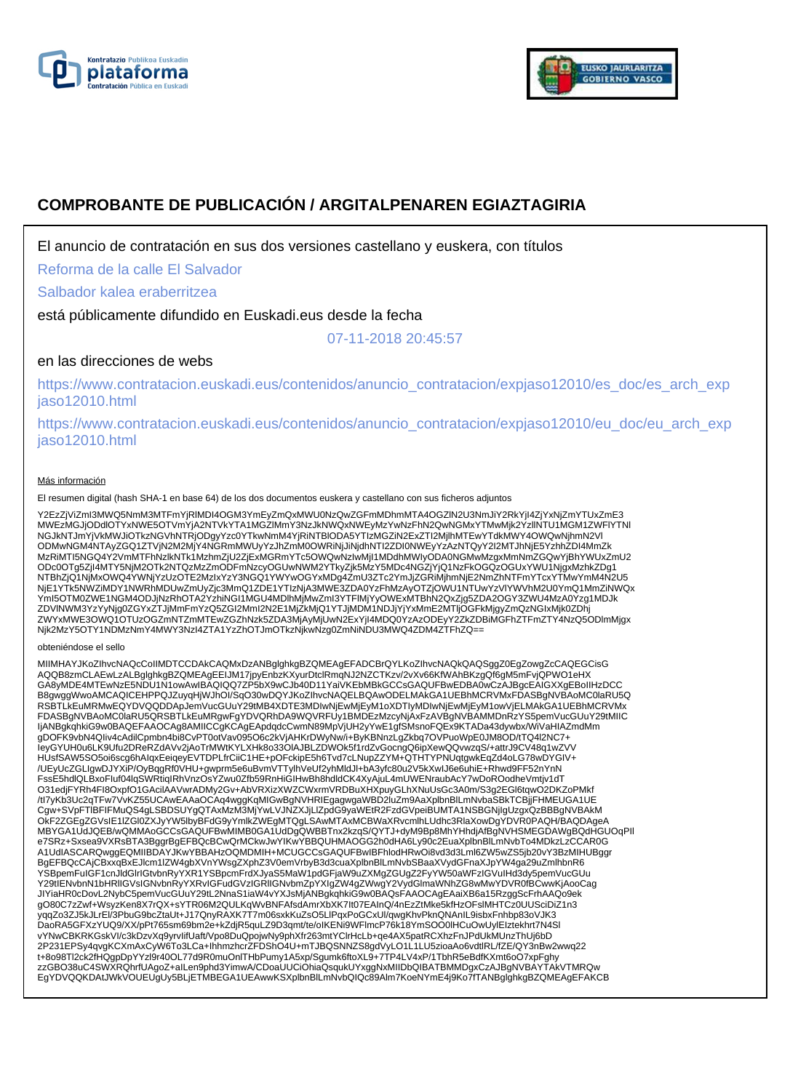



# **COMPROBANTE DE PUBLICACIÓN / ARGITALPENAREN EGIAZTAGIRIA**

El anuncio de contratación en sus dos versiones castellano y euskera, con títulos

Reforma de la calle El Salvador

Salbador kalea eraberritzea

está públicamente difundido en Euskadi.eus desde la fecha

07-11-2018 20:45:57

# en las direcciones de webs

https://www.contratacion.euskadi.eus/contenidos/anuncio\_contratacion/expjaso12010/es\_doc/es\_arch\_exp jaso12010.html

https://www.contratacion.euskadi.eus/contenidos/anuncio\_contratacion/expjaso12010/eu\_doc/eu\_arch\_exp jaso12010.html

### Más información

El resumen digital (hash SHA-1 en base 64) de los dos documentos euskera y castellano con sus ficheros adjuntos

Y2EzZjViZmI3MWQ5NmM3MTFmYjRIMDI4OGM3YmEyZmQxMWU0NzQwZGFmMDhmMTA4OGZIN2U3NmJiY2RkYjI4ZjYxNjZmYTUxZmE3<br>MWEzMGJjODdlOTYxNWE5OTVmYjA2NTVkYTA1MGZIMmY3NzJkNWQxNWEyMzYwNzFhN2QwNGMxYTMwMjk2YzllNTU1MGM1ZWFIYTNI NGJkNTJmYjVkMWJiOTkzNGVhNTRjODgyYzc0YTkwNmM4YjRiNTBIODA5YTIzMGZiN2ExZTI2MjIhMTEwYTdkMWY4OWQwNjhmN2Vl<br>ODMwNGM4NTAyZGQ1ZTVjN2M2MjY4NGRmMWUyYzJhZmM0OWRiNjJiNjdhNTI2ZDI0NWEyYzAzNTQyY2I2MTJhNjE5YzhhZDI4MmZk MzRiMTI5NGQ4Y2VmMTFhNzlkNTk1MzhmZjU2ZjExMGRmYTc5OWQwNzIwMjI1MDdhMWIyODA0NGMwMzgxMmNmZGQwYjBhYWUxZmU2 ODc0OTg5ZjI4MTY5NjM2OTk2NTQzMzZmODFmNzcyOGUwNWM2YTkyZjk5MzY5MDc4NGZjYjQ1NzFkOGQzOGUxYWU1NjgxMzhkZDg1 NTBhZjQ1NjMxOWQ4YWNjYzUzOTE2MzIxYzY3NGQ1YWYwOGYxMDg4ZmU3ZTc2YmJjZGRiMjhmNjE2NmZhNTFmYTcxYTMwYmM4N2U5 NjE1YTk5NWZiMDY1NWRhMDUwZmUyZjc3MmQ1ZDE1YTIzNjA3MWE3ZDA0YzFhMzAyOTZjOWU1NTUwYzVlYWVhM2U0YmQ1MmZiNWQx YmI5OTM0ZWE1NGM4ODJjNzRhOTA2YzhiNGI1MGU4MDIhMjMwZmI3YTFIMjYyOWExMTBhN2QxZjg5ZDA2OGY3ZWU4MzA0Yzg1MDJk<br>ZDVINWM3YzYyNjg0ZGYxZTJjMmFmYzQ5ZGI2MmI2N2E1MjZkMjQ1YTJjMDM1NDJjYjYxMmE2MTIjOGFkMjgyZmQzNGIxMjk0ZDhj<br>ZWYxMWE3OWQ1OTUzOGZm Njk2MzY5OTY1NDMzNmY4MWY3NzI4ZTA1YzZhOTJmOTkzNjkwNzg0ZmNiNDU3MWQ4ZDM4ZTFhZQ==

#### obteniéndose el sello

MIIMHAYJKoZIhvcNAQcCoIIMDTCCDAkCAQMxDzANBglghkgBZQMEAgEFADCBrQYLKoZIhvcNAQkQAQSggZ0EgZowgZcCAQEGCisG AQQB8zmCLAEwLzALBglghkgBZQMEAgEEIJM17jpyEnbzKXyurDtclRmqNJ2NZCTKzv/2vXv66KfWAhBKzgQf6gM5mFvjQPWO1eHX<br>GA8yMDE4MTEwNzE5NDU1N1owAwIBAQIQQ7ZP5bX9wCJb40D11YaiVKEbMBkGCCsGAQUFBwEDBA0wCzAJBgcEAIGXXgEBoIIHzDCC B8gwggWwoAMCAQICEHPPQJZuyqHjWJhOI/SqO30wDQYJKoZIhvcNAQELBQAwODELMAkGA1UEBhMCRVMxFDASBgNVBAoMC0laRU5Q RSBTLkEuMRMwEQYDVQQDDApJemVucGUuY29tMB4XDTE3MDIwNjEwMjEyM1oXDTIyMDIwNjEwMjEyM1owVjELMAkGA1UEBhMCRVMx FDASBgNVBAoMC0laRU5QRSBTLkEuMRgwFgYDVQRhDA9WQVRFUy1BMDEzMzcyNjAxFzAVBgNVBAMMDnRzYS5pemVucGUuY29tMIIC IjANBgkqhkiG9w0BAQEFAAOCAg8AMIICCgKCAgEApdqdcCwmN89MpVjUH2yYwE1gfSMsnoFQEx9KTADa43dywbx/WiVaHIAZmdMm gDOFK9vbN4QIiv4cAdilCpmbn4bi8CvPT0otVav095O6c2kVjAHKrDWyNw/i+ByKBNnzLgZkbq7OVPuoWpE0JM8OD/tTQ4l2NC7+ IeyGYUH0u6LK9Ufu2DReRZdAVv2jAoTrMWtKYLXHk8o33OlAJBLZDWOk5f1rdZvGocngQ6ipXewQQvwzqS/+attrJ9CV48q1wZVV HUsfSAW5SO5oi6scg6hAIqxEeiqeyEVTDPLfrCiiC1HE+pOFckipE5h6Tvd7cLNupZZYM+QTHTYPNUqtgwkEqZd4oLG78wDYGIV+<br>/UEyUcZGLIgwDJYXiP/OyBqgRf0VHU+gwprm5e6uBvmVTTylhVeUf2yhMldJl+bA3yfc80u2V5kXwIJ6e6uhiE+Rhwd9FF52nYnN FssE5hdlQLBxoFIuf04lqSWRtiqIRhVnzOsYZwu0Zfb59RnHiGIHwBh8hdldCK4XyAjuL4mUWENraubAcY7wDoROodheVmtjv1dT O31edjFYRh4FI8OxpfO1GAcilAAVwrADMy2Gv+AbVRXizXWZCWxrmVRDBuXHXpuyGLhXNuUsGc3A0m/S3g2EGl6tqwO2DKZoPMkf /tl7yKb3Uc2qTFw7VvKZ55UCAwEAAaOCAq4wggKqMIGwBgNVHRIEgagwgaWBD2luZm9AaXplbnBlLmNvbaSBkTCBjjFHMEUGA1UE<br>Cgw+SVpFTlBFIFMuQS4gLSBDSUYgQTAxMzM3MjYwLVJNZXJjLlZpdG9yaWEtR2FzdGVpeiBUMTA1NSBGNjIgUzgxQzBBBgNVBAkM OkF2ZGEgZGVsIE1IZGl0ZXJyYW5lbyBFdG9yYmlkZWEgMTQgLSAwMTAxMCBWaXRvcmlhLUdhc3RlaXowDgYDVR0PAQH/BAQDAgeA<br>MBYGA1UdJQEB/wQMMAoGCCsGAQUFBwMIMB0GA1UdDgQWBBTnx2kzqS/QYTJ+dyM9Bp8MhYHhdjAfBgNVHSMEGDAWgBQdHGUOqPlI e7SRz+Sxsea9VXRsBTA3BggrBgEFBQcBCwQrMCkwJwYIKwYBBQUHMAOGG2h0dHA6Ly90c2EuaXplbnBlLmNvbTo4MDkzLzCCAR0G<br>A1UdIASCARQwggEQMIIBDAYJKwYBBAHzOQMDMIH+MCUGCCsGAQUFBwIBFhlodHRwOi8vd3d3Lml6ZW5wZS5jb20vY3BzMIHUBggr BgEFBQcCAjCBxxqBxEJlcm1lZW4gbXVnYWsgZXphZ3V0emVrbyB3d3cuaXplbnBlLmNvbSBaaXVydGFnaXJpYW4ga29uZmlhbnR6 YSBpemFuIGF1cnJldGlrIGtvbnRyYXR1YSBpcmFrdXJyaS5MaW1pdGFjaW9uZXMgZGUgZ2FyYW50aWFzIGVuIHd3dy5pemVucGUu Y29tIENvbnN1bHRlIGVsIGNvbnRyYXRvIGFudGVzIGRlIGNvbmZpYXIgZW4gZWwgY2VydGlmaWNhZG8wMwYDVR0fBCwwKjAooCag JIYiaHR0cDovL2NybC5pemVucGUuY29tL2NnaS1iaW4vYXJsMjANBgkqhkiG9w0BAQsFAAOCAgEAaiXB6a15RzggScFrhAAQo9ek gO80C7zZwf+WsyzKen8X7rQX+sYTR06M2QULKqWvBNFAfsdAmrXbXK7lt07EAInQ/4nEzZtMke5kfHzOFslMHTCz0UUSciDiZ1n3<br>yqqZo3ZJ5kJLrEl/3PbuG9bcZtaUt+J17QnyRAXK7T7m06sxkKuZsO5LlPqxPoGCxUl/qwgKhvPknQNAnIL9isbxFnhbp83oVJK3 DaoRA5GFXzYUQ9/XX/pPt765sm69bm2e+kZdjR5quLZ9D3qmt/te/oIKENi9WFlmcP76k18YmSOO0lHCuOwUylEIztekhrt7N4Sl vYNwCBKRKGskVI/c3kDzvXq9yrvIifUaft/Vpo8DuQpojwNy9phXfr263mtYClrHcLb+qe4AX5patRCXhzFnJPdUkMUnzThUj6bD 2P231EPSy4qvgKCXmAxCyW6To3LCa+IhhmzhcrZFDShO4U+mTJBQSNNZS8gdVyLO1L1LU5zioaAo6vdtlRL/fZE/QY3nBw2wwq22 t+8o98Tl2ck2fHQgpDpYYzl9r40OL77d9R0muOnlTHbPumy1A5xp/Sgumk6ftoXL9+7TP4LV4xP/1TbhR5eBdfKXmt6oO7xpFghy zzGBO38uC4SWXRQhrfUAgoZ+aILen9phd3YimwA/CDoaUUCiOhiaQsqukUYxggNxMIIDbQIBATBMMDgxCzAJBgNVBAYTAkVTMRQw EgYDVQQKDAtJWkVOUEUgUy5BLjETMBEGA1UEAwwKSXplbnBlLmNvbQIQc89Alm7KoeNYmE4j9Ko7fTANBglghkgBZQMEAgEFAKCB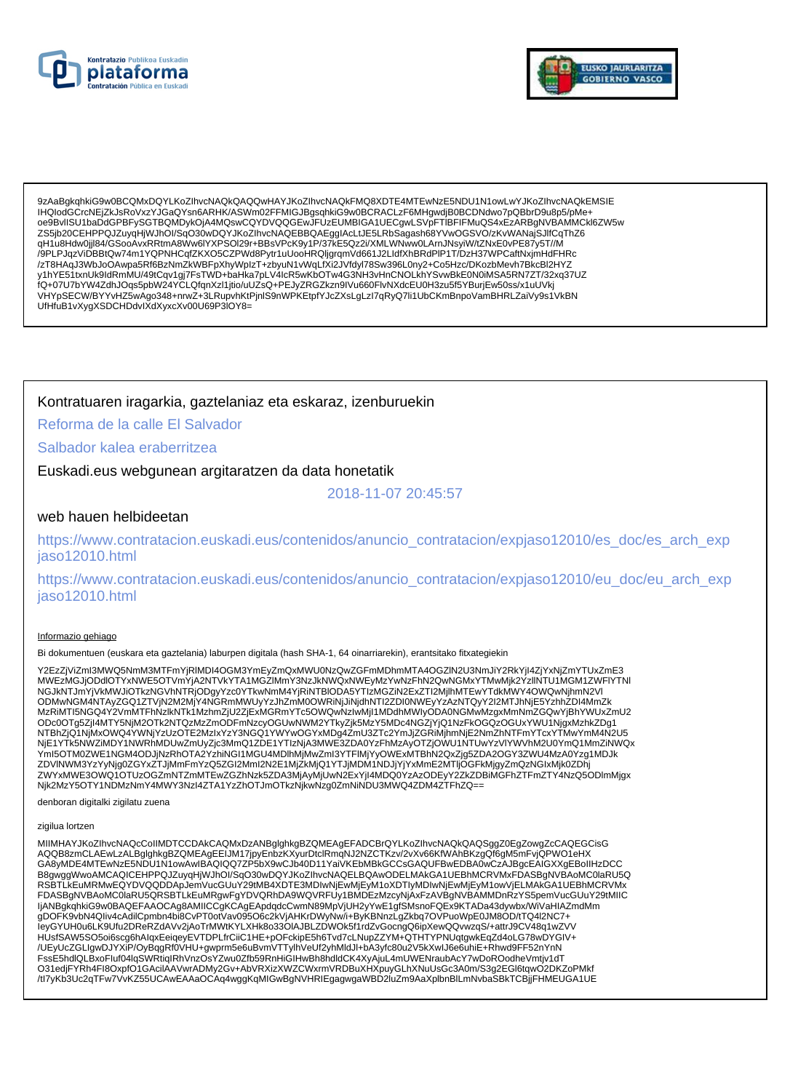



9zAaBgkqhkiG9w0BCQMxDQYLKoZlhvcNAQkQAQQwHAYJKoZlhvcNAQkFMQ8XDTE4MTEwNzE5NDU1N1owLwYJKoZlhvcNAQkEMSIE IHQIodGCrcNEiZkJsRoVxzYJGaQYsn6ARHK/ASWm02FFMIGJBqsqhkiG9w0BCRACLzF6MHqwdjB0BCDNdwo7pQBbrD9u8p5/pMe+ " - «NOUSDAY - DESCRIPTION DE LA MOSA COYDVQQGEWJFUZEUMBIGA1UECgwLSVpFTIBFIFMuQS4xEzARBgNVBAMMCkl6ZW5w ZS5jb20CEHPPQJZuyqHjWJhOl/SqO30wDQYJKoZlhvcNAQEBBQAEgglAcLtJE5LRbSagash68YVwOGSVO/zKvWANajSJlfCqThZ6 qH1u8Hdw0jjl84/GSooAvxRRtmA8Ww6IYXPSOI29r+BBsVPcK9y1P/37KE5Qz2i/XMLWNww0LArnJNsyiW/tZNxE0vPE87y5T//M /9PLPJqzViDBBtQw74m1YQPNHCqfZKXO5CZPWd8Pytr1uUooHRQljgrqmVd661J2LldfXhBRdPlP1T/DzH37WPCaftNxjmHdFHRc /zT8HAqJ3WbJoOAwpa5Rf6BzNmZkWBFpXhyWpIzT+zbyuN1vWqLfXi2JVfdyl78Sw396L0ny2+Co5Hzc/DKozbMevh7BkcBl2HYZ<br>y1hYE51txnUk9ldRmMU/49tCqv1gj7FsTWD+baHka7pLV4lcR5wKbOTw4G3NH3vHnCNOLkhYSvwBkE0N0iMSA5RN7ZT/32xq37UZ UfHfuB1vXygXSDCHDdvIXdXyxcXv00U69P3IOY8=

## Kontratuaren iragarkia, gaztelaniaz eta eskaraz, izenburuekin

Reforma de la calle El Salvador

### Salbador kalea eraberritzea

Euskadi.eus webgunean argitaratzen da data honetatik

2018-11-07 20:45:57

### web hauen helbideetan

https://www.contratacion.euskadi.eus/contenidos/anuncio\_contratacion/expjaso12010/es\_doc/es\_arch\_exp iaso12010.html

https://www.contratacion.euskadi.eus/contenidos/anuncio\_contratacion/expjaso12010/eu\_doc/eu\_arch\_exp jaso12010.html

#### Informazio gehiago

Bi dokumentuen (euskara eta gaztelania) laburpen digitala (hash SHA-1, 64 oinarriarekin), erantsitako fitxategiekin

Y2EzZjViZmI3MWQ5NmM3MTFmYjRIMDI4OGM3YmEyZmQxMWU0NzQwZGFmMDhmMTA4OGZIN2U3NmJiY2RkYjI4ZjYxNjZmYTUxZmE3 WWEZMGJIODdlOTYxNWE5OTYmYiAZNTVkYTA1MGZIMmY3NzJkNWQxNWEWAZYwNzFhN2QwNGMxYTMwMik2YzIINTU1MGM1ZWFlYTNI NGJKNTJmYjVKMWJiOTKzNGVhNTRjODgyYzc0YTkwNmM4YjRiNTBIODA5YTIzMGZiN2ExZTI2MjIhMTEwYTdkMWY4OWQwNjhmN2VI ODMwNGM4NTAyZGQ1ZTVjN2M2MjY4NGRmMWUyYzJhZmM0OWRiNjJiNjdhNTI2ZDI0NWEyYzAzNTQyY2I2MTJhNjE5YzhhZDI4MmZk MzRiMTI5NGQ4Y2VmMTFhNzlkNTk1MzhmZjU2ZjExMGRmYTc5OWQwNzlwMjI1MDdhMWIyODA0NGMwMzgxMmNmZGQwYjBhYWUxZmU2 ODc0OTg5ZjI4MTY5NjM2OTk2NTQzMzZmODFmNzcyOGUwNWM2YTkyZjk5MzY5MDc4NGZjYjQ1NzFkOGQzOGUxYWU1NjgxMzhkZDg1 OCOO 1922/1981/2012/2022 NTBhZjQ1NjMxOWQ4YWNjYzUzOTE2MzIxYzY3NGQ1YWYwOGYxMDg4ZmU3ZTc2YmJjZGRiMjhmNjE2NmZhNTFmYTcxYTMwYmM4N2U5<br>NTBhZjQ1NjMxOWQ4YWNjYzUzOTE2MzIxYzY3NGQ1YWYwOGYxMDg4ZmU3ZTc2YmJjZGRiMjhmNjE2NmZhNTFmYTcxYTMwYmM4 ZWYxMWE3OWQ10TUzOGZmNTZmMTEwZGZhNzk5ZDA3MjAyMjUwN2ExYjI4MDQ0YzAzODEyY2ZkZDBiMGFhZTFmZTY4NzQ5ODlmMjgx Njk2MzY5OTY1NDMzNmY4MWY3NzI4ZTA1YzZhOTJmOTkzNjkwNzg0ZmNiNDU3MWQ4ZDM4ZTFhZQ==

denboran digitalki zigilatu zuena

#### zigilua lortzen

MIIMHAYJKoZIhvcNAQcCoIIMDTCCDAkCAQMxDzANBglghkgBZQMEAgEFADCBrQYLKoZIhvcNAQkQAQSggZ0EgZowgZcCAQEGCisG AQQB8zmCLAEwLzALBglghkgBZQMEAgEEIJM17jpyEnbzKXyurDtclRmqNJ2NZCTKzv/2vXv66KfWAhBKzgQf6gM5mFvjQPWO1eHX<br>GA8yMDE4MTEwNzE5NDU1N1owAwlBAQIQQ7ZP5bX9wCJb40D11YaiVKEbMBkGCCsGAQUFBwEDBA0wCzAJBgcEAIGXXgEBoIIHzDCC ERGWIND MARINAL MARINA SAN AND MARINA SURFACE IN A CONTROL MARINAL MARINAL MARINAL MARINA SURFACE IN A BOOM ON<br>RSBTLKEUMRMWEQYDVQQDDApJemVucGUuY29tMB4XDTE3MDIwNjEvMjEyM1oXDTIyMDIwNjEwMjEyM1owVjELMAkGA1UEBhMCRVMx FDASBgNVBAoMC0laRU5QRSBTLkEuMRgwFgYDVQRhDA9WQVRFUy1BMDEzMzcyNjAxFzAVBgNVBAMMDnRzYS5pemVucGUuY29tMIIC ljANBgkqhkiG9w0BAQEFAAOCAg8AMIICCgKCAgEApdqdcCwmN89MpVjUH2yYwE1gfSMsnoFQEx9KTADa43dywbx/WiVaHIAZmdMm gDOFK9vbN4Qliv4cAdilCpmbn4bi8CvPT0otVav095O6c2kVjAHKrDWyNw/i+ByKBNnzLgZkbq7OVPuoWpE0JM8OD/tTQ4l2NC7+ IeyGYUH0u6LK9Ufu2DReRZdAVv2jAoTrMWtKYLXHk8o33OIAJBLZDWOk5f1rdZvGocngQ6ipXewQQvwzqS/+attrJ9CV48q1wZVV HUsfSAW5SO5oi6scg6hAlqxEeiqeyEVTDPLfrCiiC1HE+pOFckipE5h6Tvd7cLNupZZYM+QTHTYPNUqtgwkEqZd4oLG78wDYGIV+ /UEyUcZGLIgwDJYXiP/OyBqgRf0VHU+gwprm5e6uBvmVTTylhVeUf2yhMldJl+bA3yfc80u2V5kXwlJ6e6uhiE+Rhwd9FF52nYnN FssE5hdlQLBxoFluf04lqSWRtiqIRhVnzOsYZwu0Zfb59RnHiGIHwBh8hdldCK4XyAjuL4mUWENraubAcY7wDoROodheVmtjv1dT<br>O31edjFYRh4Fl8OxpfO1GAcilAAVwrADMy2Gv+AbVRXizXWZCWxrmVRDBuXHXpuyGLhXNuUsGc3A0m/S3g2EGl6tqwO2DKZoPMkf /tl7yKb3Uc2qTFw7VvKZ55UCAwEAAaOCAq4wggKqMIGwBgNVHRIEgagwgaWBD2luZm9AaXplbnBlLmNvbaSBkTCBjjFHMEUGA1UE